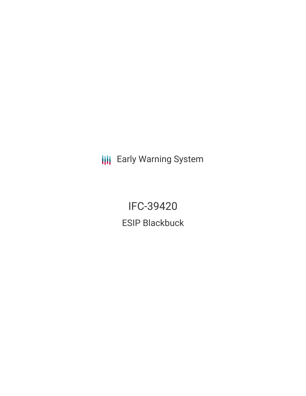**III** Early Warning System

IFC-39420 ESIP Blackbuck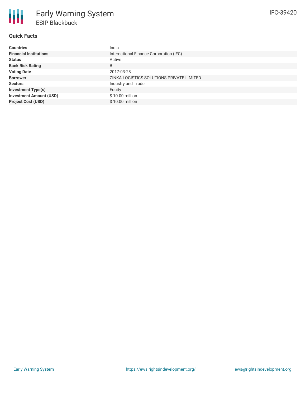

# **Quick Facts**

| <b>Countries</b>               | India                                     |
|--------------------------------|-------------------------------------------|
| <b>Financial Institutions</b>  | International Finance Corporation (IFC)   |
| <b>Status</b>                  | Active                                    |
| <b>Bank Risk Rating</b>        | B                                         |
| <b>Voting Date</b>             | 2017-03-28                                |
| <b>Borrower</b>                | ZINKA LOGISTICS SOLUTIONS PRIVATE LIMITED |
| <b>Sectors</b>                 | Industry and Trade                        |
| <b>Investment Type(s)</b>      | Equity                                    |
| <b>Investment Amount (USD)</b> | $$10.00$ million                          |
| <b>Project Cost (USD)</b>      | \$10.00 million                           |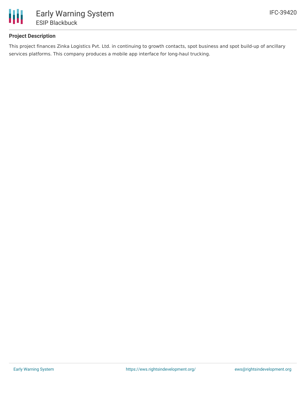

# **Project Description**

This project finances Zinka Logistics Pvt. Ltd. in continuing to growth contacts, spot business and spot build-up of ancillary services platforms. This company produces a mobile app interface for long-haul trucking.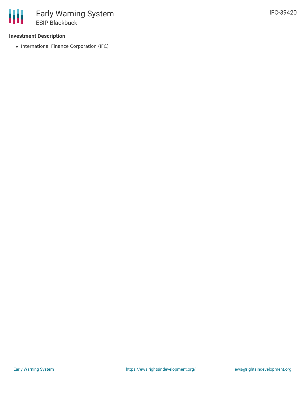### **Investment Description**

• International Finance Corporation (IFC)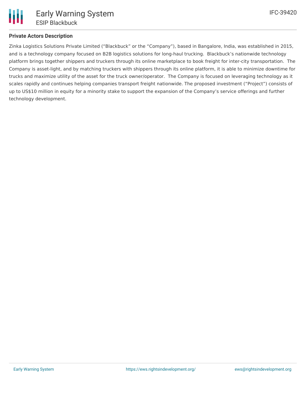

Zinka Logistics Solutions Private Limited ("Blackbuck" or the "Company"), based in Bangalore, India, was established in 2015, and is a technology company focused on B2B logistics solutions for long-haul trucking. Blackbuck's nationwide technology platform brings together shippers and truckers through its online marketplace to book freight for inter-city transportation. The Company is asset-light, and by matching truckers with shippers through its online platform, it is able to minimize downtime for trucks and maximize utility of the asset for the truck owner/operator. The Company is focused on leveraging technology as it scales rapidly and continues helping companies transport freight nationwide. The proposed investment ("Project") consists of up to US\$10 million in equity for a minority stake to support the expansion of the Company's service offerings and further technology development.